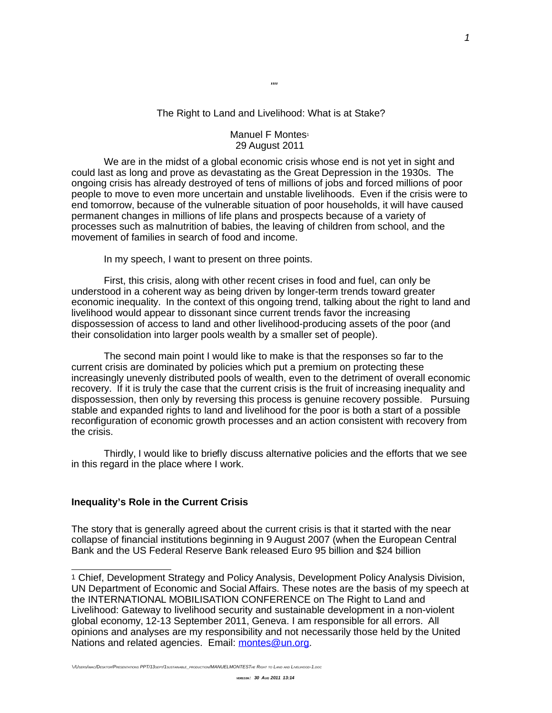## The Right to Land and Livelihood: What is at Stake?

## Manuel F Montes<sup>[1](#page-0-0)</sup> 29 August 2011

We are in the midst of a global economic crisis whose end is not yet in sight and could last as long and prove as devastating as the Great Depression in the 1930s. The ongoing crisis has already destroyed of tens of millions of jobs and forced millions of poor people to move to even more uncertain and unstable livelihoods. Even if the crisis were to end tomorrow, because of the vulnerable situation of poor households, it will have caused permanent changes in millions of life plans and prospects because of a variety of processes such as malnutrition of babies, the leaving of children from school, and the movement of families in search of food and income.

In my speech, I want to present on three points.

First, this crisis, along with other recent crises in food and fuel, can only be understood in a coherent way as being driven by longer-term trends toward greater economic inequality. In the context of this ongoing trend, talking about the right to land and livelihood would appear to dissonant since current trends favor the increasing dispossession of access to land and other livelihood-producing assets of the poor (and their consolidation into larger pools wealth by a smaller set of people).

The second main point I would like to make is that the responses so far to the current crisis are dominated by policies which put a premium on protecting these increasingly unevenly distributed pools of wealth, even to the detriment of overall economic recovery. If it is truly the case that the current crisis is the fruit of increasing inequality and dispossession, then only by reversing this process is genuine recovery possible. Pursuing stable and expanded rights to land and livelihood for the poor is both a start of a possible reconfiguration of economic growth processes and an action consistent with recovery from the crisis.

Thirdly, I would like to briefly discuss alternative policies and the efforts that we see in this regard in the place where I work.

# **Inequality's Role in the Current Crisis**

The story that is generally agreed about the current crisis is that it started with the near collapse of financial institutions beginning in 9 August 2007 (when the European Central Bank and the US Federal Reserve Bank released Euro 95 billion and \$24 billion

\/USERS/IMAC/DESKTOP/PRESENTATIONS PPT/13SEPT/1SUSTAINABLE\_PRODUCTION/MANUELMONTESTHE RIGHT TO LAND AND LIVELIHOOD-1.DOC

""

<span id="page-0-0"></span><sup>1</sup> Chief, Development Strategy and Policy Analysis, Development Policy Analysis Division, UN Department of Economic and Social Affairs. These notes are the basis of my speech at the INTERNATIONAL MOBILISATION CONFERENCE on The Right to Land and Livelihood: Gateway to livelihood security and sustainable development in a non-violent global economy, 12-13 September 2011, Geneva. I am responsible for all errors. All opinions and analyses are my responsibility and not necessarily those held by the United Nations and related agencies. Email: [montes@un.org.](mailto:montes@un.org)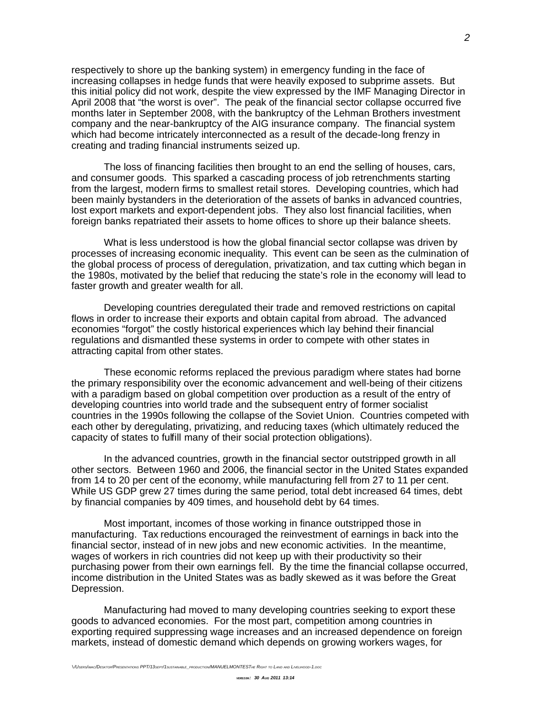respectively to shore up the banking system) in emergency funding in the face of increasing collapses in hedge funds that were heavily exposed to subprime assets. But this initial policy did not work, despite the view expressed by the IMF Managing Director in April 2008 that "the worst is over". The peak of the financial sector collapse occurred five months later in September 2008, with the bankruptcy of the Lehman Brothers investment company and the near-bankruptcy of the AIG insurance company. The financial system which had become intricately interconnected as a result of the decade-long frenzy in creating and trading financial instruments seized up.

The loss of financing facilities then brought to an end the selling of houses, cars, and consumer goods. This sparked a cascading process of job retrenchments starting from the largest, modern firms to smallest retail stores. Developing countries, which had been mainly bystanders in the deterioration of the assets of banks in advanced countries, lost export markets and export-dependent jobs. They also lost financial facilities, when foreign banks repatriated their assets to home offices to shore up their balance sheets.

What is less understood is how the global financial sector collapse was driven by processes of increasing economic inequality. This event can be seen as the culmination of the global process of process of deregulation, privatization, and tax cutting which began in the 1980s, motivated by the belief that reducing the state's role in the economy will lead to faster growth and greater wealth for all.

Developing countries deregulated their trade and removed restrictions on capital flows in order to increase their exports and obtain capital from abroad. The advanced economies "forgot" the costly historical experiences which lay behind their financial regulations and dismantled these systems in order to compete with other states in attracting capital from other states.

These economic reforms replaced the previous paradigm where states had borne the primary responsibility over the economic advancement and well-being of their citizens with a paradigm based on global competition over production as a result of the entry of developing countries into world trade and the subsequent entry of former socialist countries in the 1990s following the collapse of the Soviet Union. Countries competed with each other by deregulating, privatizing, and reducing taxes (which ultimately reduced the capacity of states to fulfill many of their social protection obligations).

In the advanced countries, growth in the financial sector outstripped growth in all other sectors. Between 1960 and 2006, the financial sector in the United States expanded from 14 to 20 per cent of the economy, while manufacturing fell from 27 to 11 per cent. While US GDP grew 27 times during the same period, total debt increased 64 times, debt by financial companies by 409 times, and household debt by 64 times.

Most important, incomes of those working in finance outstripped those in manufacturing. Tax reductions encouraged the reinvestment of earnings in back into the financial sector, instead of in new jobs and new economic activities. In the meantime, wages of workers in rich countries did not keep up with their productivity so their purchasing power from their own earnings fell. By the time the financial collapse occurred, income distribution in the United States was as badly skewed as it was before the Great Depression.

Manufacturing had moved to many developing countries seeking to export these goods to advanced economies. For the most part, competition among countries in exporting required suppressing wage increases and an increased dependence on foreign markets, instead of domestic demand which depends on growing workers wages, for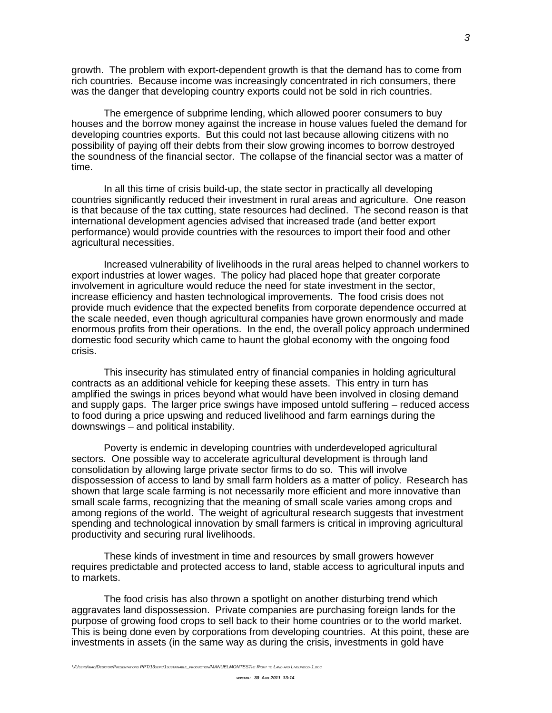growth. The problem with export-dependent growth is that the demand has to come from rich countries. Because income was increasingly concentrated in rich consumers, there was the danger that developing country exports could not be sold in rich countries.

The emergence of subprime lending, which allowed poorer consumers to buy houses and the borrow money against the increase in house values fueled the demand for developing countries exports. But this could not last because allowing citizens with no possibility of paying off their debts from their slow growing incomes to borrow destroyed the soundness of the financial sector. The collapse of the financial sector was a matter of time.

In all this time of crisis build-up, the state sector in practically all developing countries significantly reduced their investment in rural areas and agriculture. One reason is that because of the tax cutting, state resources had declined. The second reason is that international development agencies advised that increased trade (and better export performance) would provide countries with the resources to import their food and other agricultural necessities.

Increased vulnerability of livelihoods in the rural areas helped to channel workers to export industries at lower wages. The policy had placed hope that greater corporate involvement in agriculture would reduce the need for state investment in the sector, increase efficiency and hasten technological improvements. The food crisis does not provide much evidence that the expected benefits from corporate dependence occurred at the scale needed, even though agricultural companies have grown enormously and made enormous profits from their operations. In the end, the overall policy approach undermined domestic food security which came to haunt the global economy with the ongoing food crisis.

This insecurity has stimulated entry of financial companies in holding agricultural contracts as an additional vehicle for keeping these assets. This entry in turn has amplified the swings in prices beyond what would have been involved in closing demand and supply gaps. The larger price swings have imposed untold suffering – reduced access to food during a price upswing and reduced livelihood and farm earnings during the downswings – and political instability.

Poverty is endemic in developing countries with underdeveloped agricultural sectors. One possible way to accelerate agricultural development is through land consolidation by allowing large private sector firms to do so. This will involve dispossession of access to land by small farm holders as a matter of policy. Research has shown that large scale farming is not necessarily more efficient and more innovative than small scale farms, recognizing that the meaning of small scale varies among crops and among regions of the world. The weight of agricultural research suggests that investment spending and technological innovation by small farmers is critical in improving agricultural productivity and securing rural livelihoods.

These kinds of investment in time and resources by small growers however requires predictable and protected access to land, stable access to agricultural inputs and to markets.

The food crisis has also thrown a spotlight on another disturbing trend which aggravates land dispossession. Private companies are purchasing foreign lands for the purpose of growing food crops to sell back to their home countries or to the world market. This is being done even by corporations from developing countries. At this point, these are investments in assets (in the same way as during the crisis, investments in gold have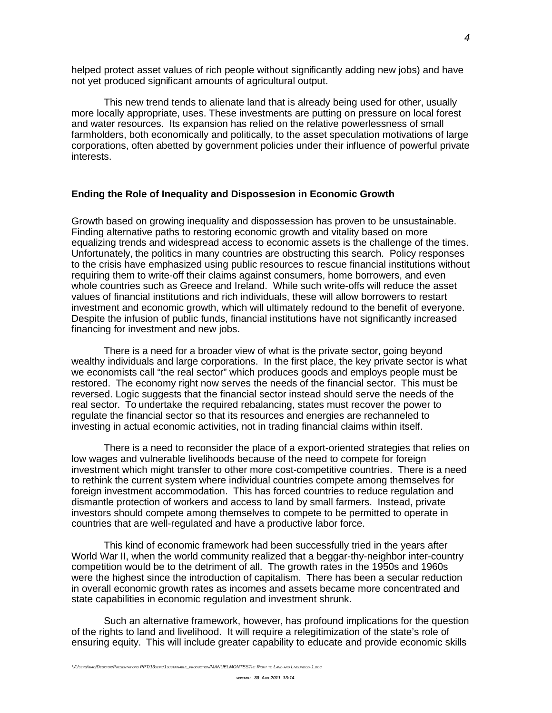helped protect asset values of rich people without significantly adding new jobs) and have not yet produced significant amounts of agricultural output.

This new trend tends to alienate land that is already being used for other, usually more locally appropriate, uses. These investments are putting on pressure on local forest and water resources. Its expansion has relied on the relative powerlessness of small farmholders, both economically and politically, to the asset speculation motivations of large corporations, often abetted by government policies under their influence of powerful private interests.

### **Ending the Role of Inequality and Dispossesion in Economic Growth**

Growth based on growing inequality and dispossession has proven to be unsustainable. Finding alternative paths to restoring economic growth and vitality based on more equalizing trends and widespread access to economic assets is the challenge of the times. Unfortunately, the politics in many countries are obstructing this search. Policy responses to the crisis have emphasized using public resources to rescue financial institutions without requiring them to write-off their claims against consumers, home borrowers, and even whole countries such as Greece and Ireland. While such write-offs will reduce the asset values of financial institutions and rich individuals, these will allow borrowers to restart investment and economic growth, which will ultimately redound to the benefit of everyone. Despite the infusion of public funds, financial institutions have not significantly increased financing for investment and new jobs.

There is a need for a broader view of what is the private sector, going beyond wealthy individuals and large corporations. In the first place, the key private sector is what we economists call "the real sector" which produces goods and employs people must be restored. The economy right now serves the needs of the financial sector. This must be reversed. Logic suggests that the financial sector instead should serve the needs of the real sector. To undertake the required rebalancing, states must recover the power to regulate the financial sector so that its resources and energies are rechanneled to investing in actual economic activities, not in trading financial claims within itself.

There is a need to reconsider the place of a export-oriented strategies that relies on low wages and vulnerable livelihoods because of the need to compete for foreign investment which might transfer to other more cost-competitive countries. There is a need to rethink the current system where individual countries compete among themselves for foreign investment accommodation. This has forced countries to reduce regulation and dismantle protection of workers and access to land by small farmers. Instead, private investors should compete among themselves to compete to be permitted to operate in countries that are well-regulated and have a productive labor force.

This kind of economic framework had been successfully tried in the years after World War II, when the world community realized that a beggar-thy-neighbor inter-country competition would be to the detriment of all. The growth rates in the 1950s and 1960s were the highest since the introduction of capitalism. There has been a secular reduction in overall economic growth rates as incomes and assets became more concentrated and state capabilities in economic regulation and investment shrunk.

Such an alternative framework, however, has profound implications for the question of the rights to land and livelihood. It will require a relegitimization of the state's role of ensuring equity. This will include greater capability to educate and provide economic skills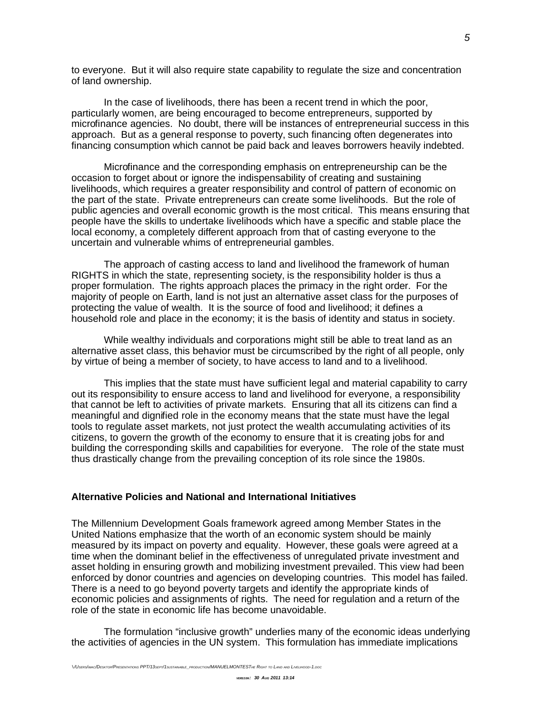to everyone. But it will also require state capability to regulate the size and concentration of land ownership.

In the case of livelihoods, there has been a recent trend in which the poor, particularly women, are being encouraged to become entrepreneurs, supported by microfinance agencies. No doubt, there will be instances of entrepreneurial success in this approach. But as a general response to poverty, such financing often degenerates into financing consumption which cannot be paid back and leaves borrowers heavily indebted.

Microfinance and the corresponding emphasis on entrepreneurship can be the occasion to forget about or ignore the indispensability of creating and sustaining livelihoods, which requires a greater responsibility and control of pattern of economic on the part of the state. Private entrepreneurs can create some livelihoods. But the role of public agencies and overall economic growth is the most critical. This means ensuring that people have the skills to undertake livelihoods which have a specific and stable place the local economy, a completely different approach from that of casting everyone to the uncertain and vulnerable whims of entrepreneurial gambles.

The approach of casting access to land and livelihood the framework of human RIGHTS in which the state, representing society, is the responsibility holder is thus a proper formulation. The rights approach places the primacy in the right order. For the majority of people on Earth, land is not just an alternative asset class for the purposes of protecting the value of wealth. It is the source of food and livelihood; it defines a household role and place in the economy; it is the basis of identity and status in society.

While wealthy individuals and corporations might still be able to treat land as an alternative asset class, this behavior must be circumscribed by the right of all people, only by virtue of being a member of society, to have access to land and to a livelihood.

This implies that the state must have sufficient legal and material capability to carry out its responsibility to ensure access to land and livelihood for everyone, a responsibility that cannot be left to activities of private markets. Ensuring that all its citizens can find a meaningful and dignified role in the economy means that the state must have the legal tools to regulate asset markets, not just protect the wealth accumulating activities of its citizens, to govern the growth of the economy to ensure that it is creating jobs for and building the corresponding skills and capabilities for everyone. The role of the state must thus drastically change from the prevailing conception of its role since the 1980s.

#### **Alternative Policies and National and International Initiatives**

The Millennium Development Goals framework agreed among Member States in the United Nations emphasize that the worth of an economic system should be mainly measured by its impact on poverty and equality. However, these goals were agreed at a time when the dominant belief in the effectiveness of unregulated private investment and asset holding in ensuring growth and mobilizing investment prevailed. This view had been enforced by donor countries and agencies on developing countries. This model has failed. There is a need to go beyond poverty targets and identify the appropriate kinds of economic policies and assignments of rights. The need for regulation and a return of the role of the state in economic life has become unavoidable.

The formulation "inclusive growth" underlies many of the economic ideas underlying the activities of agencies in the UN system. This formulation has immediate implications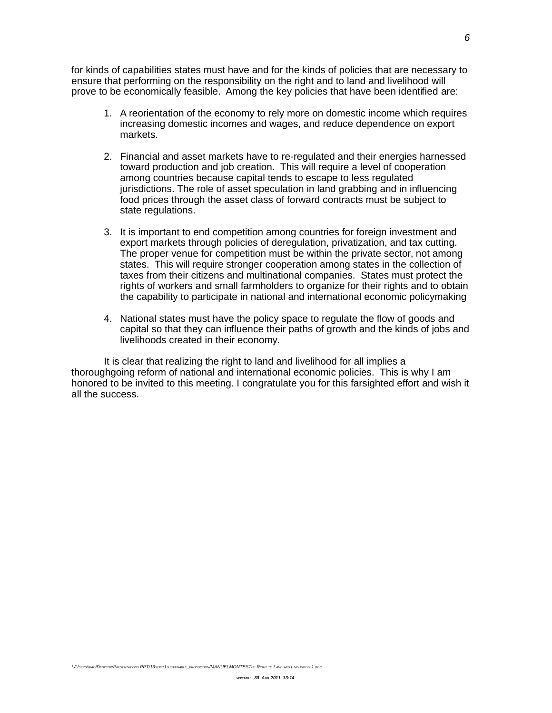for kinds of capabilities states must have and for the kinds of policies that are necessary to ensure that performing on the responsibility on the right and to land and livelihood will prove to be economically feasible. Among the key policies that have been identified are:

- 1. A reorientation of the economy to rely more on domestic income which requires increasing domestic incomes and wages, and reduce dependence on export markets.
- 2. Financial and asset markets have to re-regulated and their energies harnessed toward production and job creation. This will require a level of cooperation among countries because capital tends to escape to less regulated jurisdictions. The role of asset speculation in land grabbing and in influencing food prices through the asset class of forward contracts must be subject to state regulations.
- 3. It is important to end competition among countries for foreign investment and export markets through policies of deregulation, privatization, and tax cutting. The proper venue for competition must be within the private sector, not among states. This will require stronger cooperation among states in the collection of taxes from their citizens and multinational companies. States must protect the rights of workers and small farmholders to organize for their rights and to obtain the capability to participate in national and international economic policymaking
- 4. National states must have the policy space to regulate the flow of goods and capital so that they can influence their paths of growth and the kinds of jobs and livelihoods created in their economy.

It is clear that realizing the right to land and livelihood for all implies a thoroughgoing reform of national and international economic policies. This is why I am honored to be invited to this meeting. I congratulate you for this farsighted effort and wish it all the success.